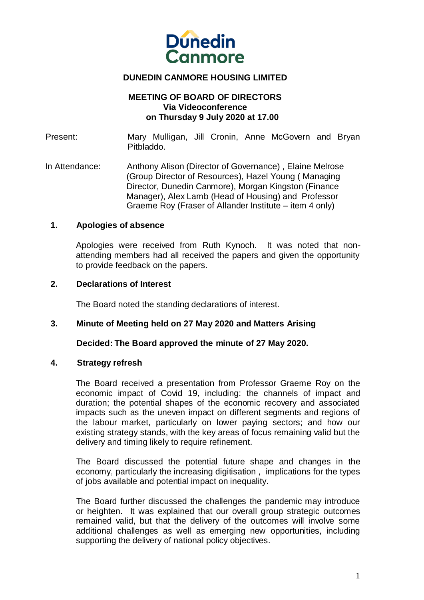

# **DUNEDIN CANMORE HOUSING LIMITED**

#### **MEETING OF BOARD OF DIRECTORS Via Videoconference on Thursday 9 July 2020 at 17.00**

Present: Mary Mulligan, Jill Cronin, Anne McGovern and Bryan Pitbladdo.

In Attendance: Anthony Alison (Director of Governance) , Elaine Melrose (Group Director of Resources), Hazel Young ( Managing Director, Dunedin Canmore), Morgan Kingston (Finance Manager), Alex Lamb (Head of Housing) and Professor Graeme Roy (Fraser of Allander Institute – item 4 only)

#### **1. Apologies of absence**

Apologies were received from Ruth Kynoch. It was noted that nonattending members had all received the papers and given the opportunity to provide feedback on the papers.

#### **2. Declarations of Interest**

The Board noted the standing declarations of interest.

#### **3. Minute of Meeting held on 27 May 2020 and Matters Arising**

#### **Decided: The Board approved the minute of 27 May 2020.**

## **4. Strategy refresh**

The Board received a presentation from Professor Graeme Roy on the economic impact of Covid 19, including: the channels of impact and duration; the potential shapes of the economic recovery and associated impacts such as the uneven impact on different segments and regions of the labour market, particularly on lower paying sectors; and how our existing strategy stands, with the key areas of focus remaining valid but the delivery and timing likely to require refinement.

The Board discussed the potential future shape and changes in the economy, particularly the increasing digitisation , implications for the types of jobs available and potential impact on inequality.

The Board further discussed the challenges the pandemic may introduce or heighten. It was explained that our overall group strategic outcomes remained valid, but that the delivery of the outcomes will involve some additional challenges as well as emerging new opportunities, including supporting the delivery of national policy objectives.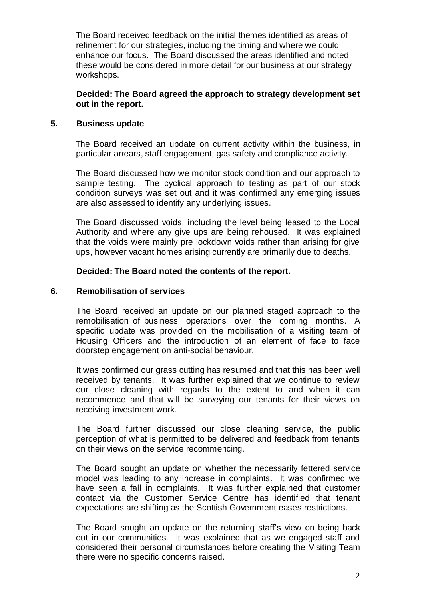The Board received feedback on the initial themes identified as areas of refinement for our strategies, including the timing and where we could enhance our focus. The Board discussed the areas identified and noted these would be considered in more detail for our business at our strategy workshops.

**Decided: The Board agreed the approach to strategy development set out in the report.**

# **5. Business update**

 The Board received an update on current activity within the business, in particular arrears, staff engagement, gas safety and compliance activity.

The Board discussed how we monitor stock condition and our approach to sample testing. The cyclical approach to testing as part of our stock condition surveys was set out and it was confirmed any emerging issues are also assessed to identify any underlying issues.

The Board discussed voids, including the level being leased to the Local Authority and where any give ups are being rehoused. It was explained that the voids were mainly pre lockdown voids rather than arising for give ups, however vacant homes arising currently are primarily due to deaths.

# **Decided: The Board noted the contents of the report.**

## **6. Remobilisation of services**

The Board received an update on our planned staged approach to the remobilisation of business operations over the coming months. A specific update was provided on the mobilisation of a visiting team of Housing Officers and the introduction of an element of face to face doorstep engagement on anti-social behaviour.

It was confirmed our grass cutting has resumed and that this has been well received by tenants. It was further explained that we continue to review our close cleaning with regards to the extent to and when it can recommence and that will be surveying our tenants for their views on receiving investment work.

The Board further discussed our close cleaning service, the public perception of what is permitted to be delivered and feedback from tenants on their views on the service recommencing.

The Board sought an update on whether the necessarily fettered service model was leading to any increase in complaints. It was confirmed we have seen a fall in complaints. It was further explained that customer contact via the Customer Service Centre has identified that tenant expectations are shifting as the Scottish Government eases restrictions.

The Board sought an update on the returning staff's view on being back out in our communities. It was explained that as we engaged staff and considered their personal circumstances before creating the Visiting Team there were no specific concerns raised.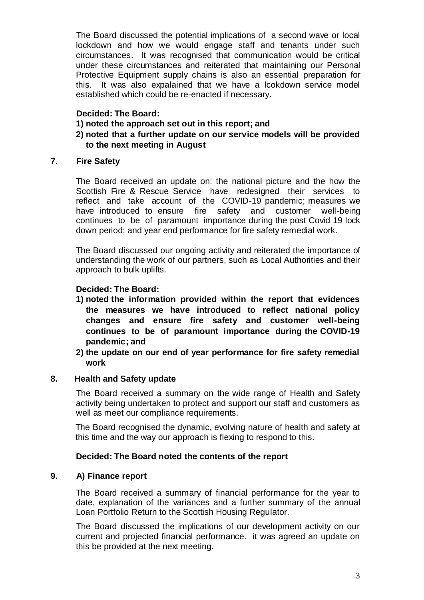The Board discussed the potential implications of a second wave or local lockdown and how we would engage staff and tenants under such circumstances. It was recognised that communication would be critical under these circumstances and reiterated that maintaining our Personal Protective Equipment supply chains is also an essential preparation for this. It was also expalained that we have a lcokdown service model established which could be re-enacted if necessary.

# **Decided: The Board:**

- **1) noted the approach set out in this report; and**
- **2) noted that a further update on our service models will be provided to the next meeting in August**

## **7. Fire Safety**

The Board received an update on: the national picture and the how the Scottish Fire & Rescue Service have redesigned their services to reflect and take account of the COVID-19 pandemic; measures we have introduced to ensure fire safety and customer well-being continues to be of paramount importance during the post Covid 19 lock down period; and year end performance for fire safety remedial work.

The Board discussed our ongoing activity and reiterated the importance of understanding the work of our partners, such as Local Authorities and their approach to bulk uplifts.

## **Decided: The Board:**

- **1) noted the information provided within the report that evidences the measures we have introduced to reflect national policy changes and ensure fire safety and customer well-being continues to be of paramount importance during the COVID-19 pandemic; and**
- **2) the update on our end of year performance for fire safety remedial work**

## **8. Health and Safety update**

The Board received a summary on the wide range of Health and Safety activity being undertaken to protect and support our staff and customers as well as meet our compliance requirements.

The Board recognised the dynamic, evolving nature of health and safety at this time and the way our approach is flexing to respond to this.

## **Decided: The Board noted the contents of the report**

## **9. A) Finance report**

The Board received a summary of financial performance for the year to date, explanation of the variances and a further summary of the annual Loan Portfolio Return to the Scottish Housing Regulator.

The Board discussed the implications of our development activity on our current and projected financial performance. it was agreed an update on this be provided at the next meeting.